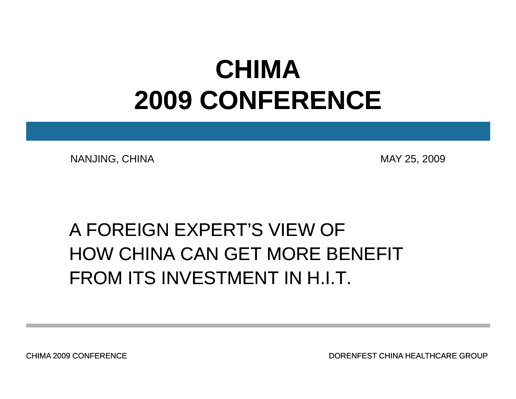## **CHIMA 2009 CONFERENCE CONFERENCE**

NANJING, CHINA MAY 25, 2009

## A FOREIGN EXPERT'S VIEW OF HOW CHINA CAN GET MORE BENEFITFROM ITS INVESTMENT IN H.I.T.

CHIMA 2009 CONFERENCE

DORENFEST CHINA HEALTHCARE GROUP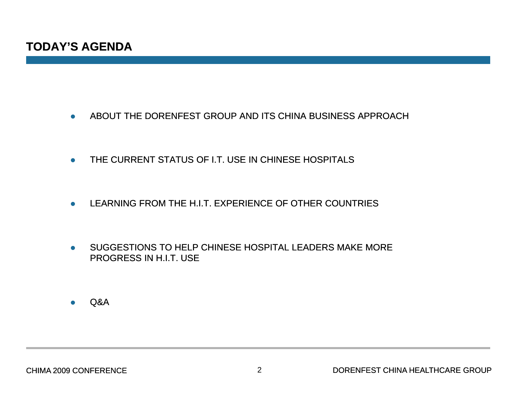- $\bullet$ ABOUT THE DORENFEST GROUP AND ITS CHINA BUSINESS APPROACH
- $\bullet$ THE CURRENT STATUS OF I.T. USE IN CHINESE HOSPITALS
- $\bullet$ LEARNING FROM THE H.I.T. EXPERIENCE OF OTHER COUNTRIES
- $\bullet$ SUGGESTIONS TO HELP CHINESE HOSPITAL LEADERS MAKE MORE PROGRESS IN H.I.T. USE

 $\bullet$ Q&A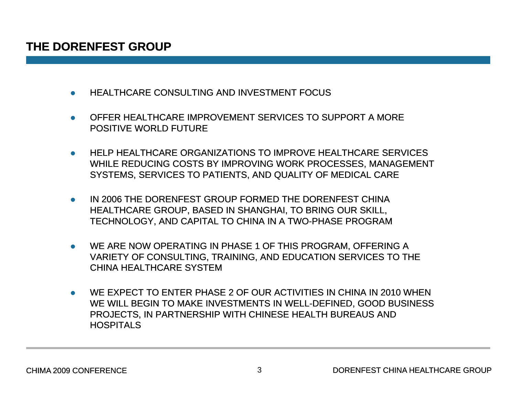#### **THE DORENFEST GROUP**

- $\bullet$ HEALTHCARE CONSULTING AND INVESTMENT FOCUS
- $\bullet$  OFFER HEALTHCARE IMPROVEMENT SERVICES TO SUPPORT A MORE POSITIVE WORLD FUTURE
- $\bullet$ HELP HEALTHCARE ORGANIZATIONS TO IMPROVE HEALTHCARE SERVICES WHILE REDUCING COSTS BY IMPROVING WORK PROCESSES, MANAGEMENT SYSTEMS, SERVICES TO PATIENTS, AND QUALITY OF MEDICAL CARE
- $\bullet$  IN 2006 THE DORENFEST GROUP FORMED THE DORENFEST CHINA HEALTHCARE GROUP, BASED IN SHANGHAI, TO BRING OUR SKILL, TECHNOLOGY, AND CAPITAL TO CHINA IN A TWO-PHASE PROGRAM
- $\bullet$ WE ARE NOW OPERATING IN PHASE 1 OF THIS PROGRAM, OFFERING A VARIETY OF CONSULTING, TRAINING, AND EDUCATION SERVICES TO THE CHINA HEALTHCARE SYSTEM
- $\bullet$  WE EXPECT TO ENTER PHASE 2 OF OUR ACTIVITIES IN CHINA IN 2010 WHEN WE WILL BEGIN TO MAKE INVESTMENTS IN WELL-DEFINED, GOOD BUSINESS PROJECTS, IN PARTNERSHIP WITH CHINESE HEALTH BUREAUS AND **HOSPITALS**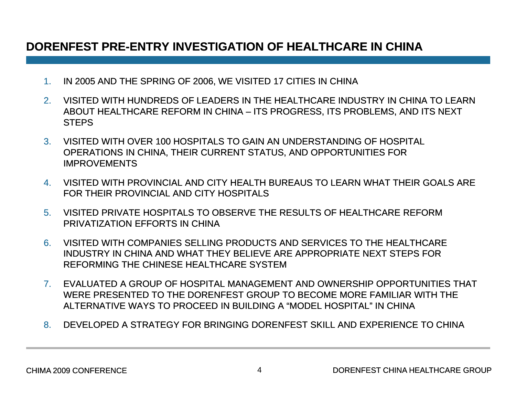### **DORENFEST PRE PRE-ENTRY INVESTIGATION OF HEALTHCARE IN CHINA ENTRY**

- 1.IN 2005 AND THE SPRING OF 2006, WE VISITED 17 CITIES IN CHINA
- 2. VISITED WITH HUNDREDS OF LEADERS IN THE HEALTHCARE INDUSTRY IN CHINA TO LEARN ABOUT HEALTHCARE REFORM IN CHINA – ITS PROGRESS, ITS PROBLEMS, AND ITS NEXT **STEPS**
- 3. VISITED WITH OVER 100 HOSPITALS TO GAIN AN UNDERSTANDING OF HOSPITAL OPERATIONS IN CHINA, THEIR CURRENT STATUS, AND OPPORTUNITIES FOR IMPROVEMENTS
- 4. VISITED WITH PROVINCIAL AND CITY HEALTH BUREAUS TO LEARN WHAT THEIR GOALS ARE FOR THEIR PROVINCIAL AND CITY HOSPITALS
- 5. VISITED PRIVATE HOSPITALS TO OBSERVE THE RESULTS OF HEALTHCARE REFORM PRIVATIZATION EFFORTS IN CHINA
- 6. VISITED WITH COMPANIES SELLING PRODUCTS AND SERVICES TO THE HEALTHCARE INDUSTRY IN CHINA AND WHAT THEY BELIEVE ARE APPROPRIATE NEXT STEPS FOR REFORMING THE CHINESE HEALTHCARE SYSTEM
- 7. EVALUATED A GROUP OF HOSPITAL MANAGEMENT AND OWNERSHIP OPPORTUNITIES THAT WERE PRESENTED TO THE DORENFEST GROUP TO BECOME MORE FAMILIAR WITH THE ALTERNATIVE WAYS TO PROCEED IN BUILDING A "MODEL HOSPITAL" IN CHINA
- 8. DEVELOPED A STRATEGY FOR BRINGING DORENFEST SKILL AND EXPERIENCE TO CHINA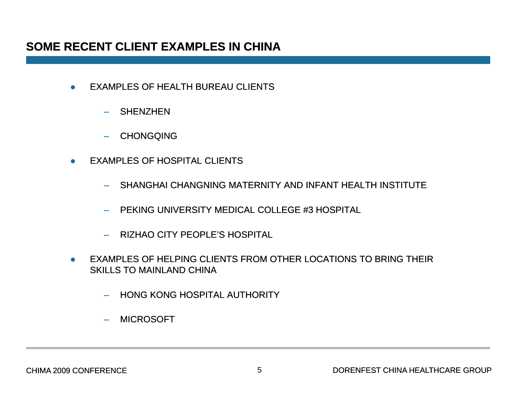#### **SOME RECENT CLIENT EXAMPLES IN CHINA**

- $\bullet$  EXAMPLES OF HEALTH BUREAU CLIENTS
	- SHENZHEN
	- CHONGQING
- $\bullet$  EXAMPLES OF HOSPITAL CLIENTS
	- SHANGHAI CHANGNING MATERNITY AND INFANT HEALTH INSTITUTE
	- PEKING UNIVERSITY MEDICAL COLLEGE #3 HOSPITAL
	- RIZHAO CITY PEOPLE'S HOSPITAL
- $\bullet$  EXAMPLES OF HELPING CLIENTS FROM OTHER LOCATIONS TO BRING THEIR SKILLS TO MAINLAND CHINA
	- HONG KONG HOSPITAL AUTHORITY
	- –MICROSOFT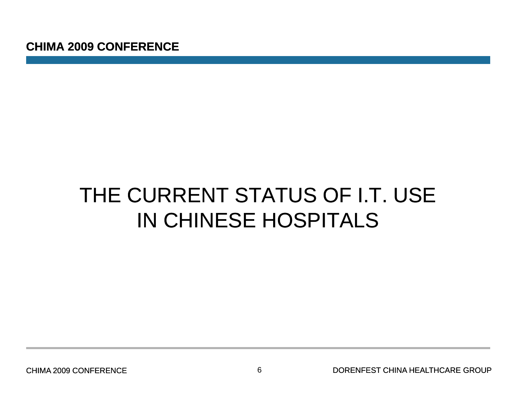## THE CURRENT STATUS OF I.T. USE IN CHINESE HOSPITALS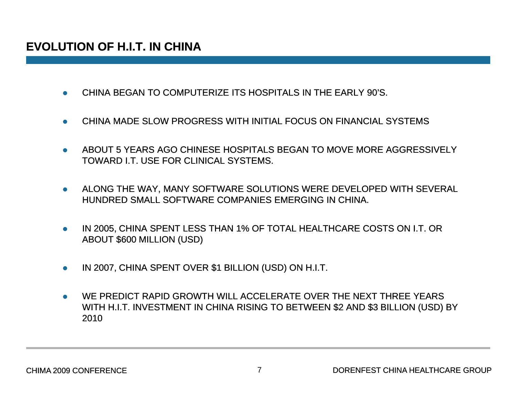### **EVOLUTION OF H.I.T. IN CHINA OF**

- $\bullet$ CHINA BEGAN TO COMPUTERIZE ITS HOSPITALS IN THE EARLY 90'S.
- $\bullet$ CHINA MADE SLOW PROGRESS WITH INITIAL FOCUS ON FINANCIAL SYSTEMS
- 0 ABOUT 5 YEARS AGO CHINESE HOSPITALS BEGAN TO MOVE MORE AGGRESSIVELY TOWARD I.T. USE FOR CLINICAL SYSTEMS.
- $\bullet$  ALONG THE WAY, MANY SOFTWARE SOLUTIONS WERE DEVELOPED WITH SEVERAL HUNDRED SMALL SOFTWARE COMPANIES EMERGING IN CHINA.
- $\bullet$  IN 2005, CHINA SPENT LESS THAN 1% OF TOTAL HEALTHCARE COSTS ON I.T. OR ABOUT \$600 MILLION (USD)
- $\bullet$ IN 2007, CHINA SPENT OVER \$1 BILLION (USD) ON H.I.T.
- $\bullet$  WE PREDICT RAPID GROWTH WILL ACCELERATE OVER THE NEXT THREE YEARS WITH H.I.T. INVESTMENT IN CHINA RISING TO BETWEEN \$2 AND \$3 BILLION (USD) BY 2010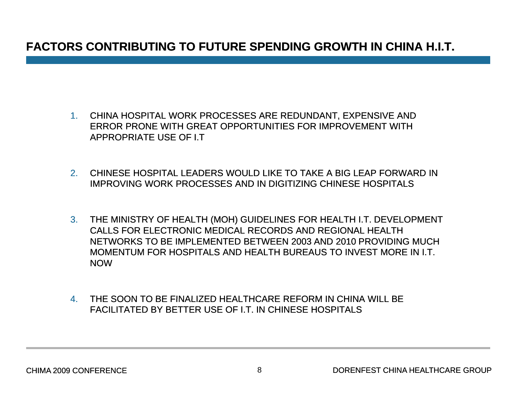### **FACTORS CONTRIBUTING TO FUTURE SPENDING GROWTH IN CHINA H.I.T.**

- 1. CHINA HOSPITAL WORK PROCESSES ARE REDUNDANT, EXPENSIVE AND ERROR PRONE WITH GREAT OPPORTUNITIES FOR IMPROVEMENT WITH APPROPRIATE USE OF I.T
- 2. CHINESE HOSPITAL LEADERS WOULD LIKE TO TAKE A BIG LEAP FORWARD IN IMPROVING WORK PROCESSES AND IN DIGITIZING CHINESE HOSPITALS
- 3. THE MINISTRY OF HEALTH (MOH) GUIDELINES FOR HEALTH I.T. DEVELOPMENT CALLS FOR ELECTRONIC MEDICAL RECORDS AND REGIONAL HEALTH NETWORKS TO BE IMPLEMENTED BETWEEN 2003 AND 2010 PROVIDING MUCH MOMENTUM FOR HOSPITALS AND HEALTH BUREAUS TO INVEST MORE IN I.T. NOW
- 4. THE SOON TO BE FINALIZED HEALTHCARE REFORM IN CHINA WILL BE FACILITATED BY BETTER USE OF I.T. IN CHINESE HOSPITALS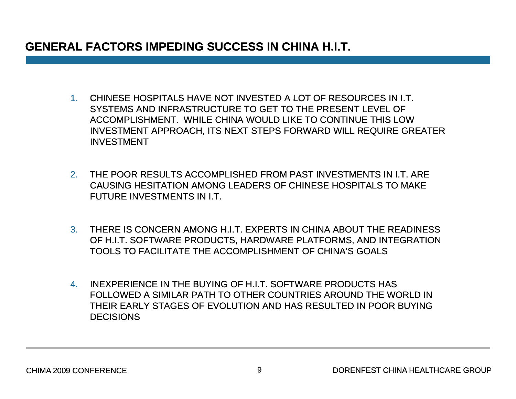### **GENERAL FACTORS IMPEDING SUCCESS IN CHINA H.I.T. IMPEDING CHINA H.I.T.**

- 1. CHINESE HOSPITALS HAVE NOT INVESTED A LOT OF RESOURCES IN I T I.T. SYSTEMS AND INFRASTRUCTURE TO GET TO THE PRESENT LEVEL OF ACCOMPLISHMENT. WHILE CHINA WOULD LIKE TO CONTINUE THIS LOW INVESTMENT APPROACH, ITS NEXT STEPS FORWARD WILL REQUIRE GREATER INVESTMENT
- 2. THE POOR RESULTS ACCOMPLISHED FROM PAST INVESTMENTS IN I.T. ARE CAUSING HESITATION AMONG LEADERS OF CHINESE HOSPITALS TO MAKE FUTURE INVESTMENTS IN I.T.
- 3. THERE IS CONCERN AMONG H.I.T. EXPERTS IN CHINA ABOUT THE READINESS OF H.I.T. SOFTWARE PRODUCTS, HARDWARE PLATFORMS, AND INTEGRATION TOOLS TO FACILITATE THE ACCOMPLISHMENT OF CHINA'S GOALS
- 4. INEXPERIENCE IN THE BUYING OF H.I.T. SOFTWARE PRODUCTS HAS FOLLOWED A SIMILAR PATH TO OTHER COUNTRIES AROUND THE WORLD IN THEIR EARLY STAGES OF EVOLUTION AND HAS RESULTED IN POOR BUYING **DECISIONS**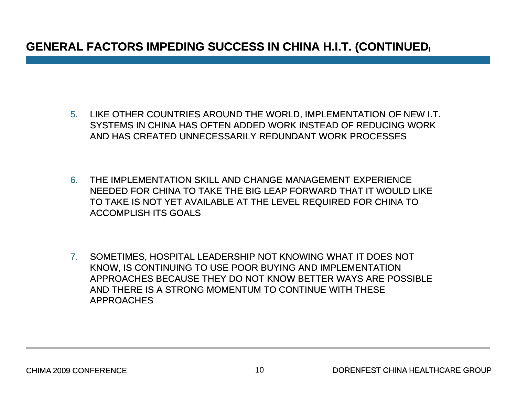### **GENERAL FACTORS IMPEDING SUCCESS IN CHINA H.I.T. (CONTINUED (CONTINUED)**

- 5. LIKE OTHER COUNTRIES AROUND THE WORLD, IMPLEMENTATION OF NEW I.T. SYSTEMS IN CHINA HAS OFTEN ADDED WORK INSTEAD OF REDUCING WORK AND HAS CREATED UNNECESSARILY REDUNDANT WORK PROCESSES
- 6. THE IMPLEMENTATION SKILL AND CHANGE MANAGEMENT EXPERIENCE NEEDED FOR CHINA TO TAKE THE BIG LEAP FORWARD THAT IT WOULD LIKE TO TAKE IS NOT YET AVAILABLE AT THE LEVEL REQUIRED FOR CHINA TO ACCOMPLISH ITS GOALS
- 7. SOMETIMES, HOSPITAL LEADERSHIP NOT KNOWING WHAT IT DOES NOT KNOW, IS CONTINUING TO USE POOR BUYING AND IMPLEMENTATION APPROACHES BECAUSE THEY DO NOT KNOW BETTER WAYS ARE POSSIBLE AND THERE IS A STRONG MOMENTUM TO CONTINUE WITH THESE APPROACHES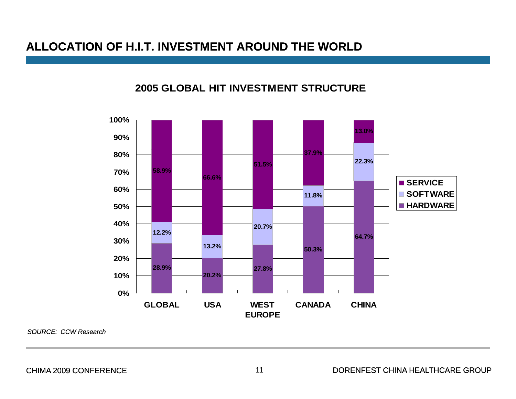#### **ALLOCATION OF H.I.T. INVESTMENT AROUND THE WORLD**<u> 그 사람 중에서 이 사람들은 아이들을 하지 않아 보이는 것이 없었다. 그 사람들은 아이들에게 하지 않아 보이는 것이 없었다.</u>

#### **2005 GLOBAL HIT INVESTMENT STRUCTURE**



*SOURCE: CCW Research*

CHIMA 2009 CONFERENCE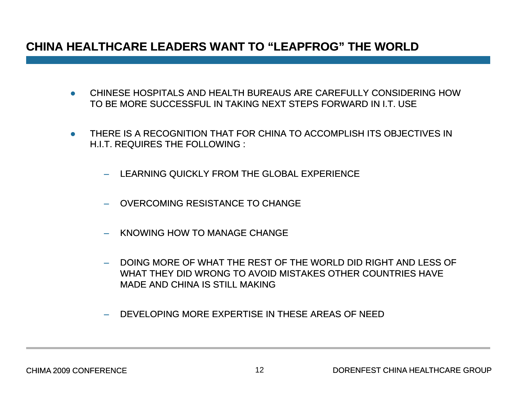#### **CHINA HEALTHCARE LEADERS WANT TO"LEAPFROG LEAPFROG " THE WORLD**

- CHINESE HOSPITALS AND HEALTH BUREAUS ARE CAREFULLY CONSIDERING HOW TO BE MORE SUCCESSFUL IN TAKING NEXT STEPS FORWARD IN I.T. USE
- THERE IS A RECOGNITION THAT FOR CHINA TO ACCOMPLISH ITS OBJECTIVES IN H.I.T. REQUIRES THE FOLLOWING :
	- LEARNING QUICKLY FROM THE GLOBAL EXPERIENCE
	- OVERCOMING RESISTANCE TO CHANGE
	- KNOWING HOW TO MANAGE CHANGE
	- DOING MORE OF WHAT THE REST OF THE WORLD DID RIGHT AND LESS OF WHAT THEY DID WRONG TO AVOID MISTAKES OTHER COUNTRIES HAVE MADE AND CHINA IS STILL MAKING
	- DEVELOPING MORE EXPERTISE IN THESE AREAS OF NEED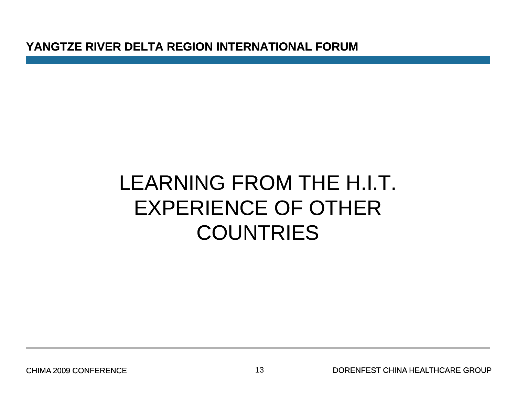**YANGTZE RIVER DELTA REGION INTERNATIONAL FORUM**

## LEARNING FROM THE H.I.T. EXPERIENCE OF OTHER **COUNTRIES**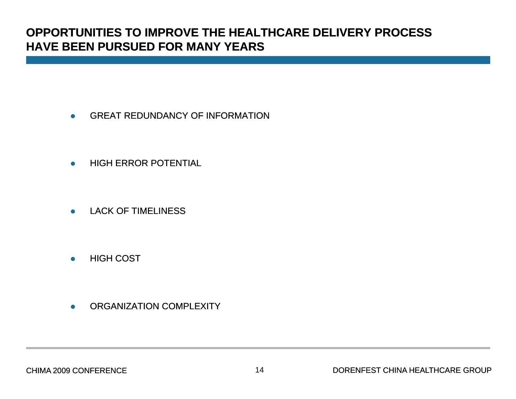#### **OPPORTUNITIES TO IMPROVE THE HEALTHCARE DELIVERY PROCESSHAVE BEEN PURSUED FOR MANY YEARS**

- $\bullet$ GREAT REDUNDANCY OF INFORMATION
- $\bullet$ HIGH ERROR POTENTIAL
- $\bullet$ LACK OF TIMELINESS
- $\bullet$ HIGH COST
- $\bullet$ ORGANIZATION COMPLEXITY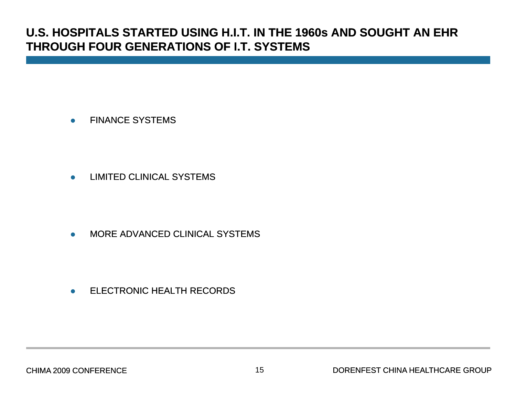#### **U.S. HOSPITALS STARTED USING H.I.T. IN THE 1960s AND SOUGHT AN EHR THROUGH FOUR GENERATIONS OF I.T. SYSTEMS OF**

 $\bullet$ FINANCE SYSTEMS

 $\bullet$ LIMITED CLINICAL SYSTEMS

 $\bullet$ MORE ADVANCED CLINICAL SYSTEMS

 $\bullet$ ELECTRONIC HEALTH RECORDS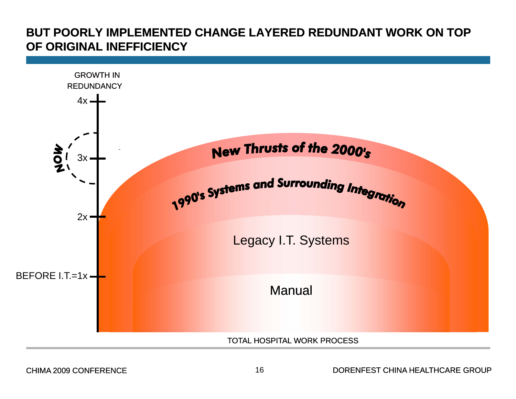#### **BUT POORLY IMPLEMENTED CHANGE LAYERED REDUNDANT WORK ON TOP OF ORIGINAL INEFFICIENCY**



CHIMA 2009 CONFERENCE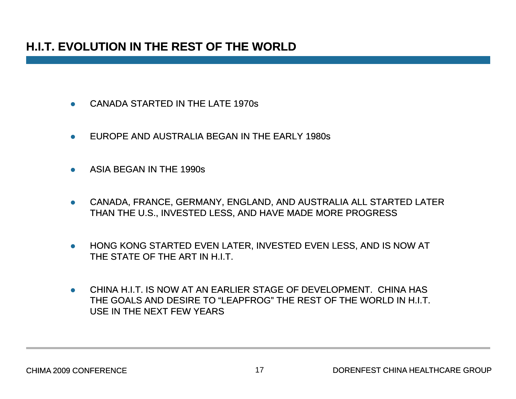### **H.I.T. EVOLUTION IN THE REST OF THE WORLD**

- $\bullet$ CANADA STARTED IN THE LATE 1970s
- $\bullet$ EUROPE AND AUSTRALIA BEGAN IN THE EARLY 1980s
- $\bullet$ ASIA BEGAN IN THE 1990s
- $\bullet$ CANADA, FRANCE, GERMANY, ENGLAND, AND AUSTRALIA ALL STARTED LATER THAN THE U.S., INVESTED LESS, AND HAVE MADE MORE PROGRESS
- $\bullet$ HONG KONG STARTED EVEN LATER, INVESTED EVEN LESS, AND IS NOW AT THE STATE OF THE ART IN H.I.T.
- $\bullet$  CHINA H.I.T. IS NOW AT AN EARLIER STAGE OF DEVELOPMENT. CHINA HAS THE GOALS AND DESIRE TO "LEAPFROG" THE REST OF THE WORLD IN H.I.T. USE IN THE NEXT FEW YEARS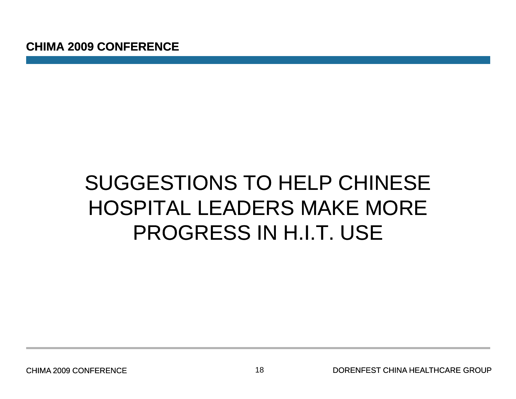## SUGGESTIONS TO HELP CHINESE HOSPITAL LEADERS MAKE MORE PROGRESS IN H.I.T. USE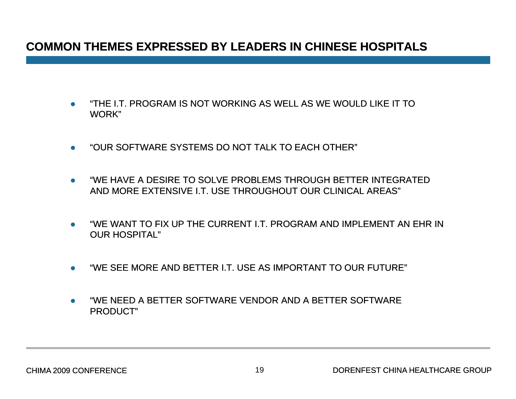#### **COMMON THEMES EXPRESSED BY LEADERS IN CHINESE HOSPITALS**

- $\bullet$  "THE I.T. PROGRAM IS NOT WORKING AS WELL AS WE WOULD LIKE IT TO WORK"
- $\bullet$ "OUR SOFTWARE SYSTEMS DO NOT TALK TO EACH OTHER"
- $\bullet$  "WE HAVE A DESIRE TO SOLVE PROBLEMS THROUGH BETTER INTEGRATED AND MORE EXTENSIVE I.T. USE THROUGHOUT OUR CLINICAL AREAS"
- $\bullet$  "WE WANT TO FIX UP THE CURRENT I.T. PROGRAM AND IMPLEMENT AN EHR IN OUR HOSPITAL"
- $\bullet$ "WE SEE MORE AND BETTER I.T. USE AS IMPORTANT TO OUR FUTURE"
- $\bullet$  $\bullet$  strather and the SOFTWARE vendor and a better software PRODUCT"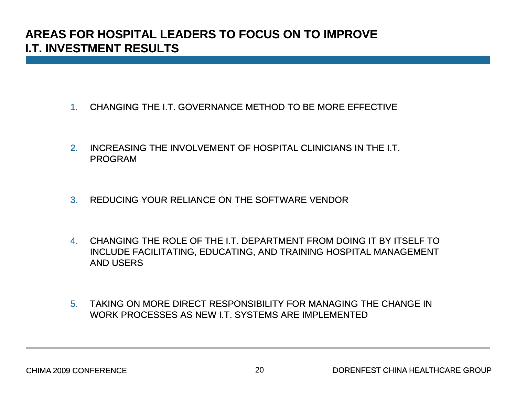#### **AREAS FOR HOSPITAL LEADERS TO FOCUS ON TO IMPROVE I T INVESTMENT RESULTS I.T.**

- 1. CHANGING THE I.T. GOVERNANCE METHOD TO BE MORE EFFECTIVE
- 2. INCREASING THE INVOLVEMENT OF HOSPITAL CLINICIANS IN THE I.T. PROGRAM
- 3. REDUCING YOUR RELIANCE ON THE SOFTWARE VENDOR
- 4. CHANGING THE ROLE OF THE I.T. DEPARTMENT FROM DOING IT BY ITSELF TO INCLUDE FACILITATING, EDUCATING, AND TRAINING HOSPITAL MANAGEMENT AND USERS
- 5. TAKING ON MORE DIRECT RESPONSIBILITY FOR MANAGING THE CHANGE IN WORK PROCESSES AS NEW I.T. SYSTEMS ARE IMPLEMENTED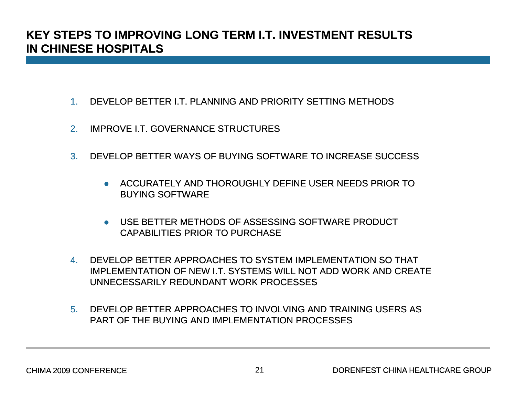#### **KEY STEPS TO IMPROVING LONG TERM I.T. INVESTMENT RESULTS IN CHINESE HOSPITALS**

- 1.. DEVELOP BETTER I.T. PLANNING AND PRIORITY SETTING METHODS
- 2.IMPROVE I.T. GOVERNANCE STRUCTURES
- 3. DEVELOP BETTER WAYS OF BUYING SOFTWARE TO INCREASE SUCCESS
	- **ACCURATELY AND THOROUGHLY DEFINE USER NEEDS PRIOR TO** BUYING SOFTWARE
	- USE BETTER METHODS OF ASSESSING SOFTWARE PRODUCT CAPABILITIES PRIOR TO PURCHASE
- 4. DEVELOP BETTER APPROACHES TO SYSTEM IMPLEMENTATION SO THAT IMPLEMENTATION OF NEW I.T. SYSTEMS WILL NOT ADD WORK AND CREATE UNNECESSARILY REDUNDANT WORK PROCESSES
- 5. DEVELOP BETTER APPROACHES TO INVOLVING AND TRAINING USERS AS PART OF THE BUYING AND IMPLEMENTATION PROCESSES